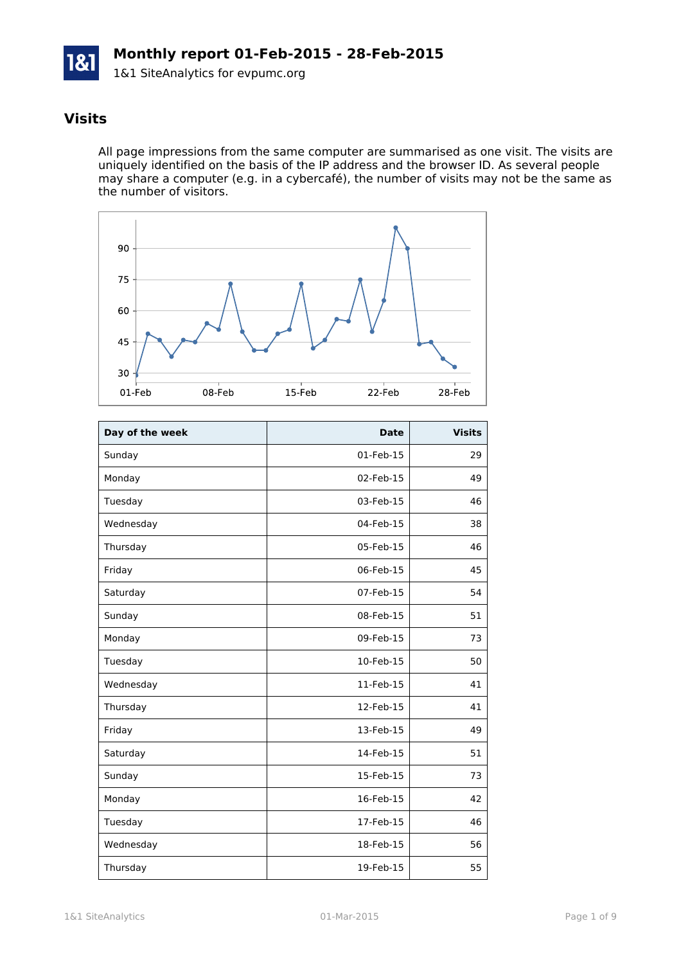

# **Visits**

All page impressions from the same computer are summarised as one visit. The visits are uniquely identified on the basis of the IP address and the browser ID. As several people may share a computer (e.g. in a cybercafé), the number of visits may not be the same as the number of visitors.



| Day of the week | <b>Date</b> | <b>Visits</b> |
|-----------------|-------------|---------------|
| Sunday          | 01-Feb-15   | 29            |
| Monday          | 02-Feb-15   | 49            |
| Tuesday         | 03-Feb-15   | 46            |
| Wednesday       | 04-Feb-15   | 38            |
| Thursday        | 05-Feb-15   | 46            |
| Friday          | 06-Feb-15   | 45            |
| Saturday        | 07-Feb-15   | 54            |
| Sunday          | 08-Feb-15   | 51            |
| Monday          | 09-Feb-15   | 73            |
| Tuesday         | 10-Feb-15   | 50            |
| Wednesday       | 11-Feb-15   | 41            |
| Thursday        | 12-Feb-15   | 41            |
| Friday          | 13-Feb-15   | 49            |
| Saturday        | 14-Feb-15   | 51            |
| Sunday          | 15-Feb-15   | 73            |
| Monday          | 16-Feb-15   | 42            |
| Tuesday         | 17-Feb-15   | 46            |
| Wednesday       | 18-Feb-15   | 56            |
| Thursday        | 19-Feb-15   | 55            |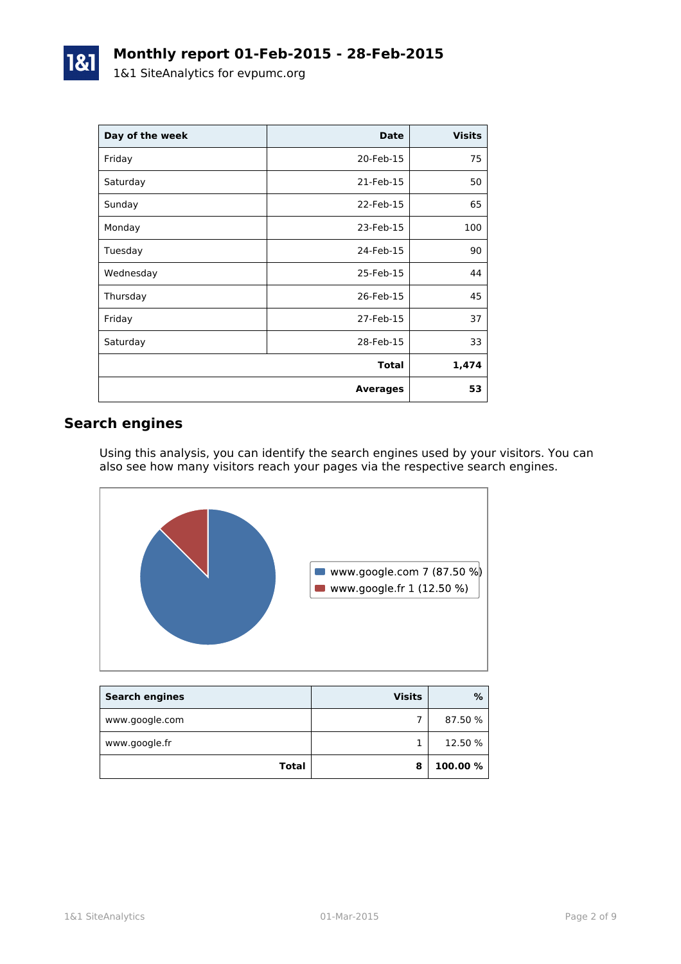| Day of the week | <b>Date</b>     | <b>Visits</b> |
|-----------------|-----------------|---------------|
| Friday          | 20-Feb-15       | 75            |
| Saturday        | 21-Feb-15       | 50            |
| Sunday          | 22-Feb-15       | 65            |
| Monday          | 23-Feb-15       | 100           |
| Tuesday         | 24-Feb-15       | 90            |
| Wednesday       | 25-Feb-15       | 44            |
| Thursday        | 26-Feb-15       | 45            |
| Friday          | 27-Feb-15       | 37            |
| Saturday        | 28-Feb-15       | 33            |
|                 | <b>Total</b>    | 1,474         |
|                 | <b>Averages</b> | 53            |

# **Search engines**

Using this analysis, you can identify the search engines used by your visitors. You can also see how many visitors reach your pages via the respective search engines.



| <b>Search engines</b> | <b>Visits</b> | %        |
|-----------------------|---------------|----------|
| www.google.com        |               | 87.50 %  |
| www.google.fr         |               | 12.50 %  |
| <b>Total</b>          | 8             | 100.00 % |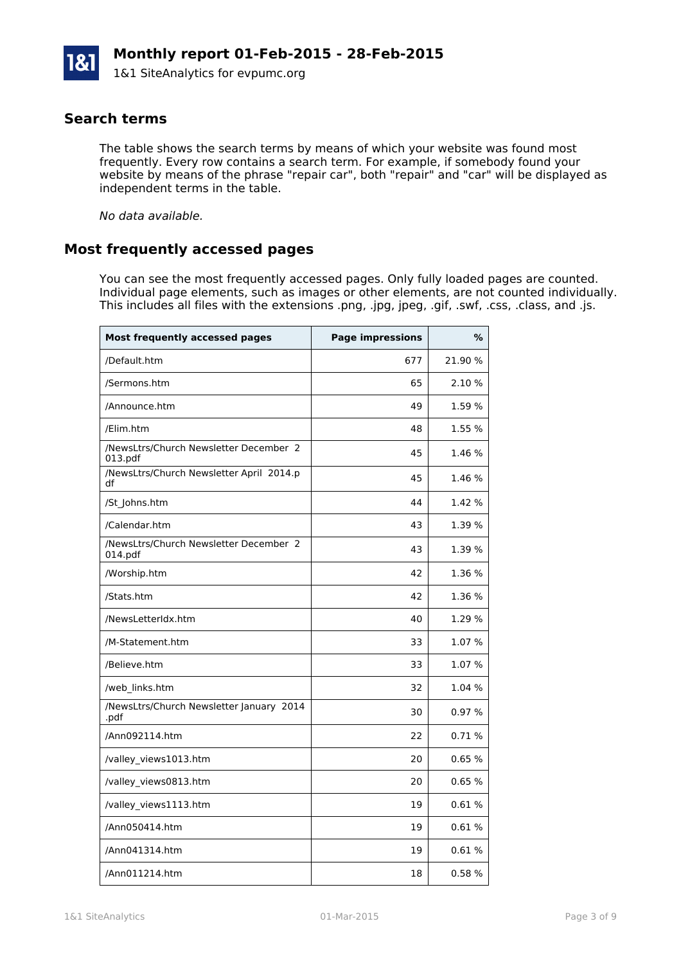#### **Search terms**

The table shows the search terms by means of which your website was found most frequently. Every row contains a search term. For example, if somebody found your website by means of the phrase "repair car", both "repair" and "car" will be displayed as independent terms in the table.

*No data available.*

#### **Most frequently accessed pages**

You can see the most frequently accessed pages. Only fully loaded pages are counted. Individual page elements, such as images or other elements, are not counted individually. This includes all files with the extensions .png, .jpg, jpeg, .gif, .swf, .css, .class, and .js.

| <b>Most frequently accessed pages</b>             | <b>Page impressions</b> | %       |
|---------------------------------------------------|-------------------------|---------|
| /Default.htm                                      | 677                     | 21.90 % |
| /Sermons.htm                                      | 65                      | 2.10 %  |
| /Announce.htm                                     | 49                      | 1.59 %  |
| /Elim.htm                                         | 48                      | 1.55 %  |
| /NewsLtrs/Church Newsletter December 2<br>013.pdf | 45                      | 1.46 %  |
| /NewsLtrs/Church Newsletter April 2014.p<br>df    | 45                      | 1.46 %  |
| /St Johns.htm                                     | 44                      | 1.42 %  |
| /Calendar.htm                                     | 43                      | 1.39 %  |
| /NewsLtrs/Church Newsletter December 2<br>014.pdf | 43                      | 1.39 %  |
| /Worship.htm                                      | 42                      | 1.36 %  |
| /Stats.htm                                        | 42                      | 1.36 %  |
| /NewsLetterIdx.htm                                | 40                      | 1.29 %  |
| /M-Statement.htm                                  | 33                      | 1.07%   |
| /Believe.htm                                      | 33                      | 1.07 %  |
| /web links.htm                                    | 32                      | 1.04 %  |
| /NewsLtrs/Church Newsletter January 2014<br>.pdf  | 30                      | 0.97%   |
| /Ann092114.htm                                    | 22                      | 0.71%   |
| /valley views1013.htm                             | 20                      | 0.65%   |
| /valley_views0813.htm                             | 20                      | 0.65%   |
| /valley_views1113.htm                             | 19                      | 0.61%   |
| /Ann050414.htm                                    | 19                      | 0.61%   |
| /Ann041314.htm                                    | 19                      | 0.61%   |
| /Ann011214.htm                                    | 18                      | 0.58%   |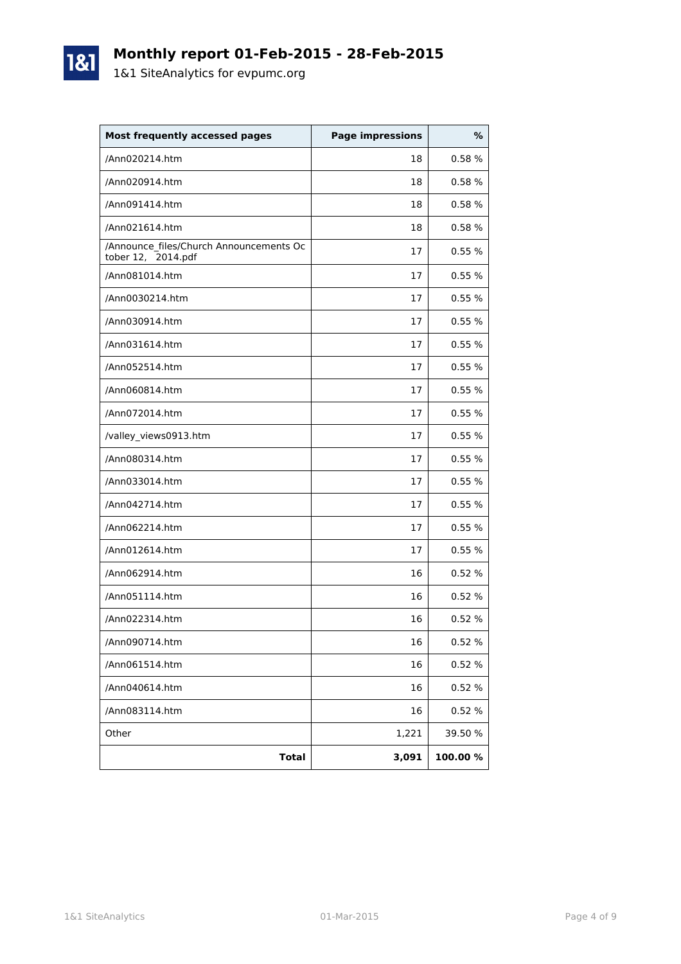

1&1

| <b>Most frequently accessed pages</b>                         | <b>Page impressions</b> | %       |
|---------------------------------------------------------------|-------------------------|---------|
| /Ann020214.htm                                                | 18                      | 0.58%   |
| /Ann020914.htm                                                | 18                      | 0.58%   |
| /Ann091414.htm                                                | 18                      | 0.58 %  |
| /Ann021614.htm                                                | 18                      | 0.58%   |
| /Announce_files/Church Announcements Oc<br>tober 12, 2014.pdf | 17                      | 0.55%   |
| /Ann081014.htm                                                | 17                      | 0.55%   |
| /Ann0030214.htm                                               | 17                      | 0.55%   |
| /Ann030914.htm                                                | 17                      | 0.55%   |
| /Ann031614.htm                                                | 17                      | 0.55%   |
| /Ann052514.htm                                                | 17                      | 0.55%   |
| /Ann060814.htm                                                | 17                      | 0.55%   |
| /Ann072014.htm                                                | 17                      | 0.55%   |
| /valley_views0913.htm                                         | 17                      | 0.55%   |
| /Ann080314.htm                                                | 17                      | 0.55%   |
| /Ann033014.htm                                                | 17                      | 0.55%   |
| /Ann042714.htm                                                | 17                      | 0.55%   |
| /Ann062214.htm                                                | 17                      | 0.55%   |
| /Ann012614.htm                                                | 17                      | 0.55%   |
| /Ann062914.htm                                                | 16                      | 0.52%   |
| /Ann051114.htm                                                | 16                      | 0.52%   |
| /Ann022314.htm                                                | 16                      | 0.52%   |
| /Ann090714.htm                                                | 16                      | 0.52 %  |
| /Ann061514.htm                                                | 16                      | 0.52 %  |
| /Ann040614.htm                                                | 16                      | 0.52 %  |
| /Ann083114.htm                                                | 16                      | 0.52 %  |
| Other                                                         | 1,221                   | 39.50 % |
| <b>Total</b>                                                  | 3,091                   | 100.00% |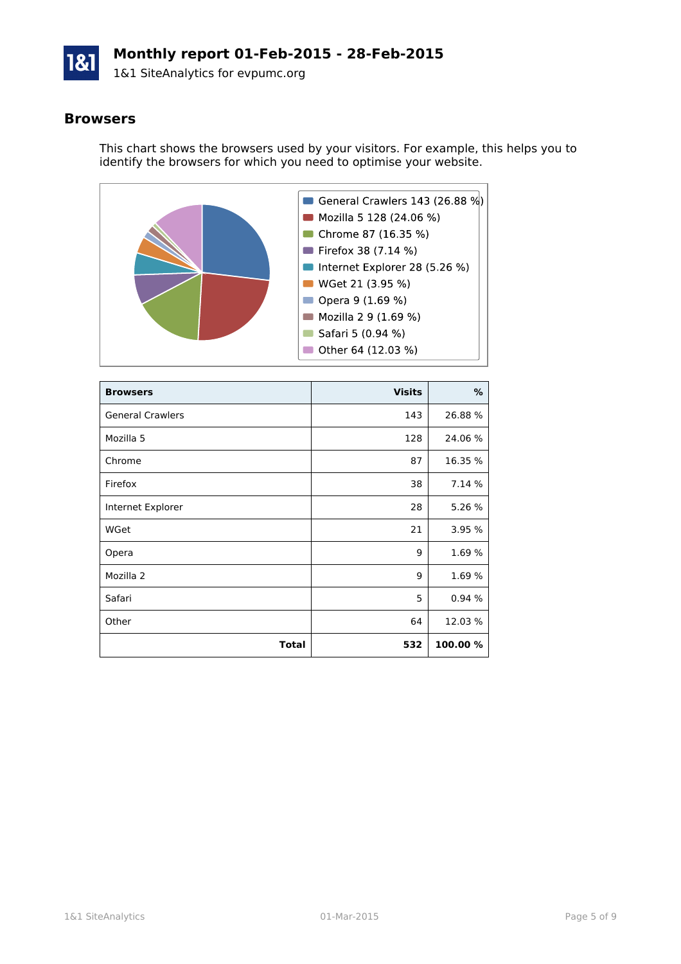

#### **Browsers**

This chart shows the browsers used by your visitors. For example, this helps you to identify the browsers for which you need to optimise your website.



| <b>Browsers</b>         | <b>Visits</b> | ℅        |
|-------------------------|---------------|----------|
| <b>General Crawlers</b> | 143           | 26.88 %  |
| Mozilla 5               | 128           | 24.06 %  |
| Chrome                  | 87            | 16.35 %  |
| Firefox                 | 38            | 7.14 %   |
| Internet Explorer       | 28            | 5.26 %   |
| WGet                    | 21            | 3.95 %   |
| Opera                   | 9             | 1.69 %   |
| Mozilla 2               | 9             | 1.69 %   |
| Safari                  | 5             | 0.94%    |
| Other                   | 64            | 12.03%   |
| <b>Total</b>            | 532           | 100.00 % |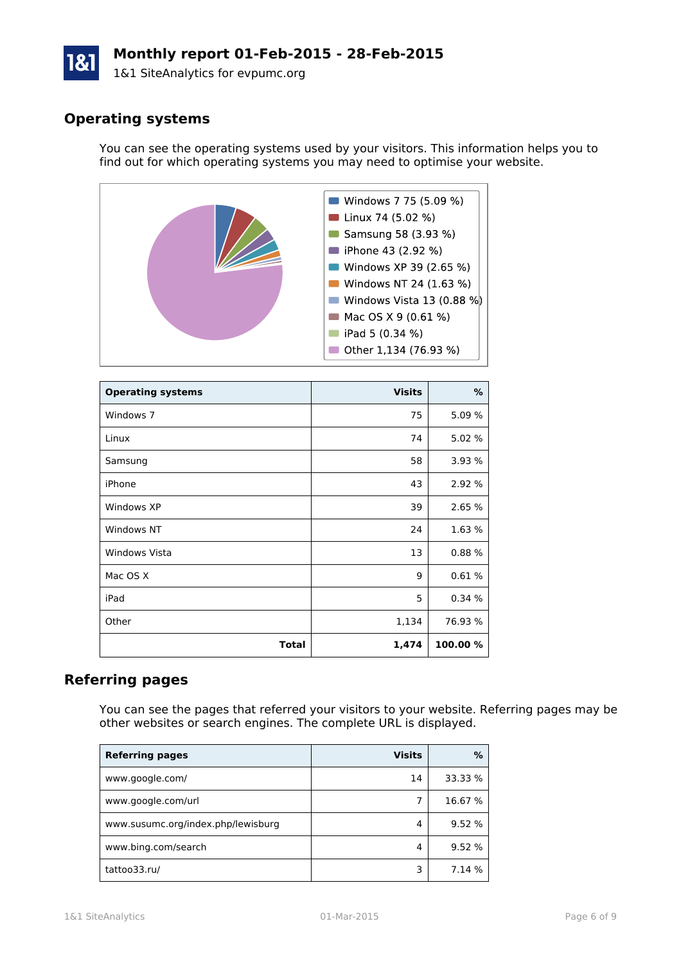# **Monthly report 01-Feb-2015 - 28-Feb-2015**

1&1 SiteAnalytics for evpumc.org

# **Operating systems**

You can see the operating systems used by your visitors. This information helps you to find out for which operating systems you may need to optimise your website.



| <b>Operating systems</b> | <b>Visits</b> | %        |
|--------------------------|---------------|----------|
| Windows 7                | 75            | 5.09 %   |
| Linux                    | 74            | 5.02 %   |
| Samsung                  | 58            | 3.93 %   |
| iPhone                   | 43            | 2.92 %   |
| Windows XP               | 39            | 2.65 %   |
| Windows NT               | 24            | 1.63 %   |
| <b>Windows Vista</b>     | 13            | 0.88%    |
| Mac OS X                 | 9             | 0.61%    |
| iPad                     | 5             | 0.34%    |
| Other                    | 1,134         | 76.93 %  |
| <b>Total</b>             | 1,474         | 100.00 % |

# **Referring pages**

You can see the pages that referred your visitors to your website. Referring pages may be other websites or search engines. The complete URL is displayed.

| <b>Referring pages</b>             | <b>Visits</b> | %       |
|------------------------------------|---------------|---------|
| www.google.com/                    | 14            | 33.33 % |
| www.google.com/url                 |               | 16.67 % |
| www.susumc.org/index.php/lewisburg | 4             | 9.52 %  |
| www.bing.com/search                | 4             | 9.52 %  |
| tattoo33.ru/                       |               | 7.14 %  |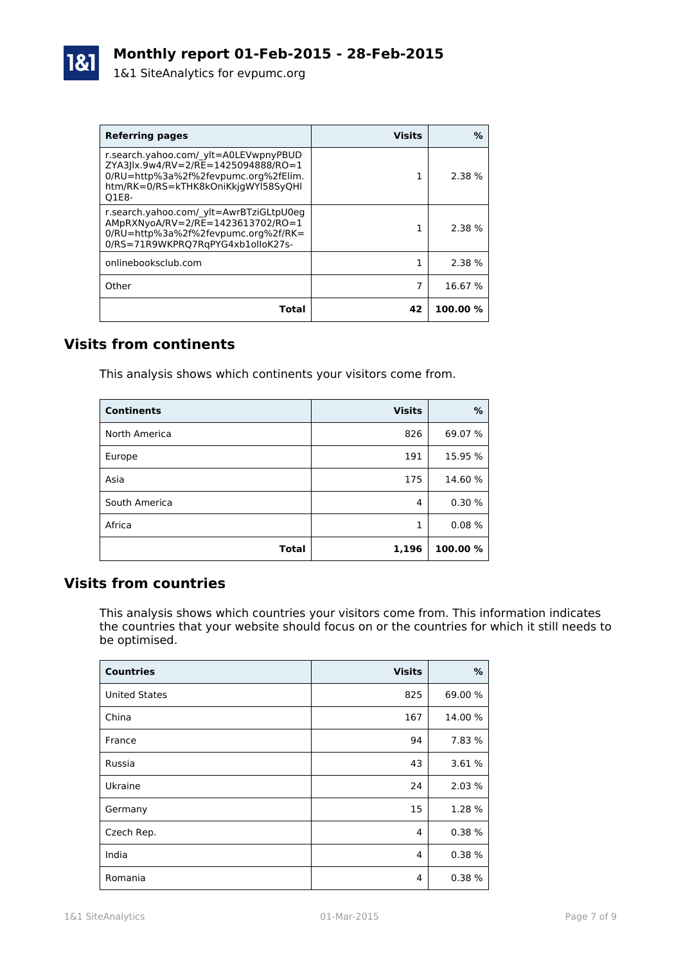| <b>Referring pages</b>                                                                                                                                               | <b>Visits</b> | ℅        |
|----------------------------------------------------------------------------------------------------------------------------------------------------------------------|---------------|----------|
| r.search.yahoo.com/ ylt=A0LEVwpnyPBUD<br>ZYA3 lx.9w4/RV=2/RE=1425094888/RO=1<br>0/RU=http%3a%2f%2fevpumc.org%2fElim.<br>htm/RK=0/RS=kTHK8kOniKkjgWYl58SyQHl<br>O1E8- |               | 2.38%    |
| r.search.yahoo.com/ ylt=AwrBTziGLtpU0eg<br>AMpRXNyoA/RV=2/RE=1423613702/RO=1<br>0/RU=http%3a%2f%2fevpumc.org%2f/RK=<br>0/RS=71R9WKPRQ7RqPYG4xb1olloK27s-             |               | 2.38 %   |
| onlinebooksclub.com                                                                                                                                                  | 1             | 2.38%    |
| Other                                                                                                                                                                |               | 16.67 %  |
| Total                                                                                                                                                                | 42            | 100.00 % |

# **Visits from continents**

This analysis shows which continents your visitors come from.

| <b>Continents</b> | <b>Visits</b> | %        |
|-------------------|---------------|----------|
| North America     | 826           | 69.07 %  |
| Europe            | 191           | 15.95 %  |
| Asia              | 175           | 14.60 %  |
| South America     | 4             | 0.30%    |
| Africa            | 1             | 0.08%    |
| <b>Total</b>      | 1,196         | 100.00 % |

### **Visits from countries**

This analysis shows which countries your visitors come from. This information indicates the countries that your website should focus on or the countries for which it still needs to be optimised.

| <b>Countries</b>     | <b>Visits</b> | %       |
|----------------------|---------------|---------|
| <b>United States</b> | 825           | 69.00 % |
| China                | 167           | 14.00 % |
| France               | 94            | 7.83 %  |
| Russia               | 43            | 3.61 %  |
| Ukraine              | 24            | 2.03 %  |
| Germany              | 15            | 1.28 %  |
| Czech Rep.           | 4             | 0.38%   |
| India                | 4             | 0.38%   |
| Romania              | 4             | 0.38%   |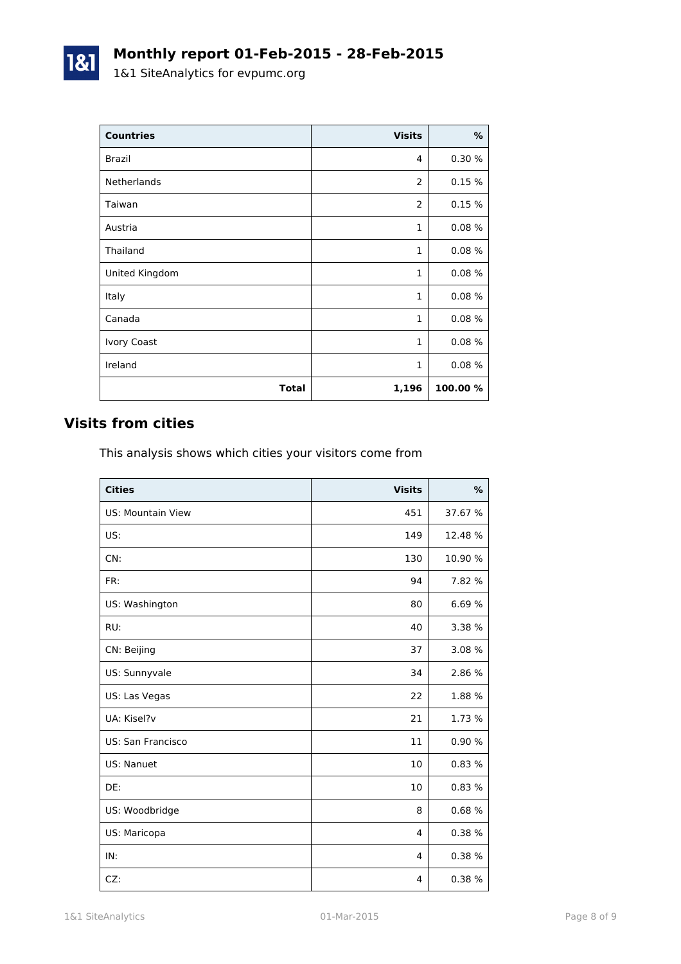| <b>Countries</b>   | <b>Visits</b>  | $\%$     |
|--------------------|----------------|----------|
| Brazil             | 4              | 0.30 %   |
| Netherlands        | $\overline{2}$ | 0.15%    |
| Taiwan             | $\overline{2}$ | 0.15%    |
| Austria            | 1              | 0.08%    |
| Thailand           | $\mathbf{1}$   | 0.08%    |
| United Kingdom     | $\mathbf{1}$   | 0.08%    |
| Italy              | $\mathbf{1}$   | 0.08%    |
| Canada             | $\mathbf{1}$   | 0.08%    |
| <b>Ivory Coast</b> | $\mathbf{1}$   | 0.08%    |
| Ireland            | 1              | 0.08%    |
| <b>Total</b>       | 1,196          | 100.00 % |

# **Visits from cities**

1&1

This analysis shows which cities your visitors come from

| <b>Cities</b>            | <b>Visits</b> | $\frac{9}{6}$ |
|--------------------------|---------------|---------------|
| <b>US: Mountain View</b> | 451           | 37.67 %       |
| US:                      | 149           | 12.48 %       |
| CN:                      | 130           | 10.90 %       |
| FR:                      | 94            | 7.82 %        |
| US: Washington           | 80            | 6.69%         |
| RU:                      | 40            | 3.38 %        |
| CN: Beijing              | 37            | 3.08 %        |
| US: Sunnyvale            | 34            | 2.86 %        |
| US: Las Vegas            | 22            | 1.88 %        |
| UA: Kisel?v              | 21            | 1.73 %        |
| US: San Francisco        | 11            | 0.90%         |
| US: Nanuet               | 10            | 0.83%         |
| DE:                      | 10            | 0.83%         |
| US: Woodbridge           | 8             | 0.68%         |
| US: Maricopa             | 4             | 0.38%         |
| IN:                      | 4             | 0.38 %        |
| CZ:                      | 4             | 0.38%         |